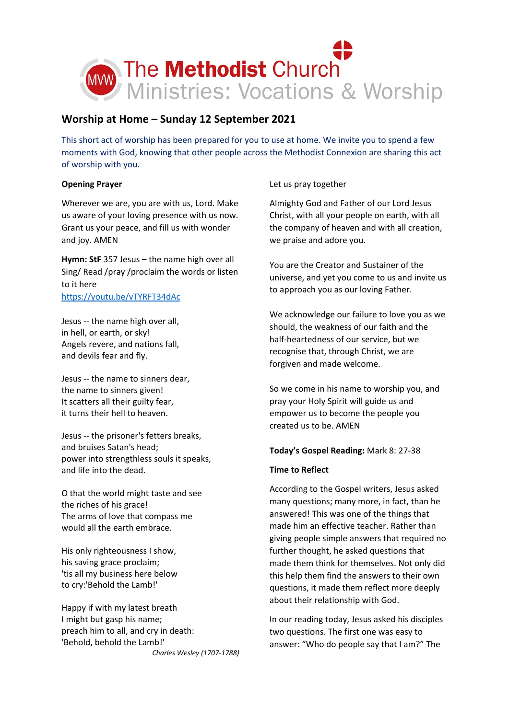

# **Worship at Home – Sunday 12 September 2021**

This short act of worship has been prepared for you to use at home. We invite you to spend a few moments with God, knowing that other people across the Methodist Connexion are sharing this act of worship with you.

## **Opening Prayer**

Wherever we are, you are with us, Lord. Make us aware of your loving presence with us now. Grant us your peace, and fill us with wonder and joy. AMEN

**Hymn: StF** 357 Jesus – the name high over all Sing/ Read /pray /proclaim the words or listen to it here <https://youtu.be/vTYRFT34dAc>

Jesus -- the name high over all, in hell, or earth, or sky! Angels revere, and nations fall, and devils fear and fly.

Jesus -- the name to sinners dear, the name to sinners given! It scatters all their guilty fear, it turns their hell to heaven.

Jesus -- the prisoner's fetters breaks, and bruises Satan's head; power into strengthless souls it speaks, and life into the dead.

O that the world might taste and see the riches of his grace! The arms of love that compass me would all the earth embrace.

His only righteousness I show, his saving grace proclaim; 'tis all my business here below to cry:'Behold the Lamb!'

Happy if with my latest breath I might but gasp his name; preach him to all, and cry in death: 'Behold, behold the Lamb!' *Charles Wesley (1707-1788)* Let us pray together

Almighty God and Father of our Lord Jesus Christ, with all your people on earth, with all the company of heaven and with all creation, we praise and adore you.

You are the Creator and Sustainer of the universe, and yet you come to us and invite us to approach you as our loving Father.

We acknowledge our failure to love you as we should, the weakness of our faith and the half-heartedness of our service, but we recognise that, through Christ, we are forgiven and made welcome.

So we come in his name to worship you, and pray your Holy Spirit will guide us and empower us to become the people you created us to be. AMEN

## **Today's Gospel Reading:** Mark 8: 27-38

## **Time to Reflect**

According to the Gospel writers, Jesus asked many questions; many more, in fact, than he answered! This was one of the things that made him an effective teacher. Rather than giving people simple answers that required no further thought, he asked questions that made them think for themselves. Not only did this help them find the answers to their own questions, it made them reflect more deeply about their relationship with God.

In our reading today, Jesus asked his disciples two questions. The first one was easy to answer: "Who do people say that I am?" The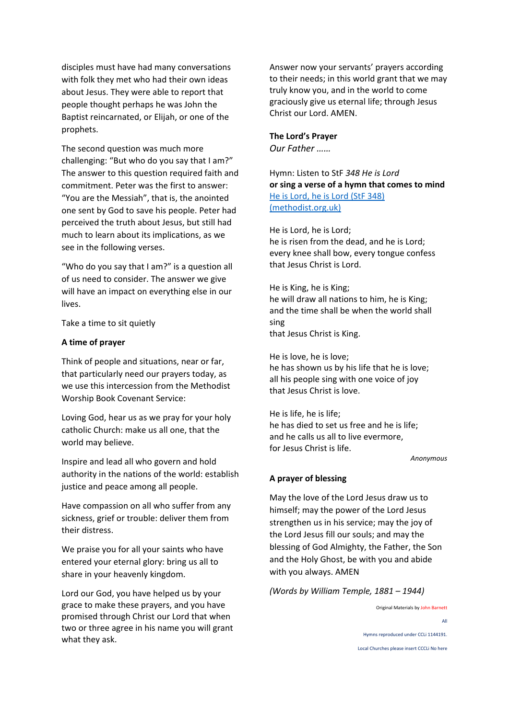disciples must have had many conversations with folk they met who had their own ideas about Jesus. They were able to report that people thought perhaps he was John the Baptist reincarnated, or Elijah, or one of the prophets.

The second question was much more challenging: "But who do you say that I am?" The answer to this question required faith and commitment. Peter was the first to answer: "You are the Messiah", that is, the anointed one sent by God to save his people. Peter had perceived the truth about Jesus, but still had much to learn about its implications, as we see in the following verses.

"Who do you say that I am?" is a question all of us need to consider. The answer we give will have an impact on everything else in our lives.

Take a time to sit quietly

### **A time of prayer**

Think of people and situations, near or far, that particularly need our prayers today, as we use this intercession from the Methodist Worship Book Covenant Service:

Loving God, hear us as we pray for your holy catholic Church: make us all one, that the world may believe.

Inspire and lead all who govern and hold authority in the nations of the world: establish justice and peace among all people.

Have compassion on all who suffer from any sickness, grief or trouble: deliver them from their distress.

We praise you for all your saints who have entered your eternal glory: bring us all to share in your heavenly kingdom.

Lord our God, you have helped us by your grace to make these prayers, and you have promised through Christ our Lord that when two or three agree in his name you will grant what they ask.

Answer now your servants' prayers according to their needs; in this world grant that we may truly know you, and in the world to come graciously give us eternal life; through Jesus Christ our Lord. AMEN.

## **The Lord's Prayer**

*Our Father ……*

Hymn: Listen to StF *348 He is Lord* **or sing a verse of a hymn that comes to mind** [He is Lord, he is Lord \(StF 348\)](https://www.methodist.org.uk/our-faith/worship/singing-the-faith-plus/hymns/he-is-lord-he-is-lord-stf-348/)  [\(methodist.org.uk\)](https://www.methodist.org.uk/our-faith/worship/singing-the-faith-plus/hymns/he-is-lord-he-is-lord-stf-348/)

He is Lord, he is Lord; he is risen from the dead, and he is Lord; every knee shall bow, every tongue confess that Jesus Christ is Lord.

He is King, he is King; he will draw all nations to him, he is King; and the time shall be when the world shall sing that Jesus Christ is King.

He is love, he is love; he has shown us by his life that he is love; all his people sing with one voice of joy that Jesus Christ is love.

He is life, he is life; he has died to set us free and he is life; and he calls us all to live evermore, for Jesus Christ is life.

*Anonymous*

#### **A prayer of blessing**

May the love of the Lord Jesus draw us to himself; may the power of the Lord Jesus strengthen us in his service; may the joy of the Lord Jesus fill our souls; and may the blessing of God Almighty, the Father, the Son and the Holy Ghost, be with you and abide with you always. AMEN

*(Words by William Temple, 1881 – 1944)*

Original Materials by John Barnett All Hymns reproduced under CCLi 1144191. Local Churches please insert CCCLi No here